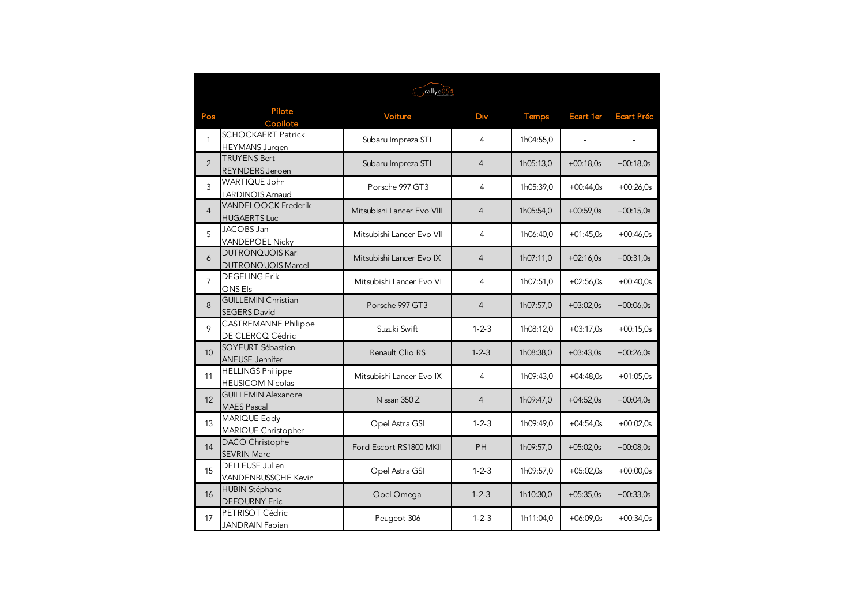|                |                                                     | rallye054                  |                |           |                  |                   |
|----------------|-----------------------------------------------------|----------------------------|----------------|-----------|------------------|-------------------|
| Pos            | Pilote<br>Copilote                                  | Voiture                    | Div            | Temps     | <b>Ecart 1er</b> | <b>Ecart Préc</b> |
| $\mathbf{1}$   | <b>SCHOCKAERT Patrick</b><br><b>HEYMANS Jurgen</b>  | Subaru Impreza STI         | 4              | 1h04:55,0 | $\omega$         |                   |
| $\overline{2}$ | <b>TRUYENS Bert</b><br>REYNDERS Jeroen              | Subaru Impreza STI         | $\overline{4}$ | 1h05:13,0 | $+00:18,0s$      | $+00:18,0s$       |
| 3              | WARTIQUE John<br>LARDINOIS Arnaud                   | Porsche 997 GT3            | 4              | 1h05:39.0 | $+00:44.0s$      | $+00:26.0s$       |
| $\overline{4}$ | VANDELOOCK Frederik<br><b>HUGAERTS Luc</b>          | Mitsubishi Lancer Evo VIII | $\overline{4}$ | 1h05:54.0 | $+00:59,0s$      | $+00:15.0s$       |
| 5              | JACOBS Jan<br><b>VANDEPOEL Nicky</b>                | Mitsubishi Lancer Evo VII  | 4              | 1h06:40,0 | $+01:45,0s$      | $+00:46.0s$       |
| 6              | <b>DUTRONQUOIS Karl</b><br>DUTRONQUOIS Marcel       | Mitsubishi Lancer Evo IX   | $\overline{4}$ | 1h07:11,0 | $+02:16.0s$      | $+00:31,0s$       |
| $\overline{7}$ | <b>DEGELING Erik</b><br>ONS Els                     | Mitsubishi Lancer Evo VI   | 4              | 1h07:51,0 | $+02:56.0s$      | $+00:40.0s$       |
| 8              | <b>GUILLEMIN Christian</b><br><b>SEGERS David</b>   | Porsche 997 GT3            | $\overline{4}$ | 1h07:57,0 | $+03:02.0s$      | $+00:06.0s$       |
| 9              | <b>CASTREMANNE Philippe</b><br>DE CLERCQ Cédric     | Suzuki Swift               | $1 - 2 - 3$    | 1h08:12,0 | $+03:17.0s$      | $+00:15,0s$       |
| 10             | SOYEURT Sébastien<br><b>ANEUSE Jennifer</b>         | Renault Clio RS            | $1 - 2 - 3$    | 1h08:38,0 | $+03:43.0s$      | $+00:26.0s$       |
| 11             | <b>HELLINGS Philippe</b><br><b>HEUSICOM Nicolas</b> | Mitsubishi Lancer Evo IX   | 4              | 1h09:43,0 | $+04:48.0s$      | $+01:05.0s$       |
| 12             | <b>GUILLEMIN Alexandre</b><br>MAES Pascal           | Nissan 350 Z               | $\overline{4}$ | 1h09:47,0 | $+04:52,0s$      | $+00:04,0s$       |
| 13             | MARIQUE Eddy<br>MARIQUE Christopher                 | Opel Astra GSI             | $1 - 2 - 3$    | 1h09:49,0 | $+04:54.0s$      | $+00:02,0s$       |
| 14             | DACO Christophe<br><b>SEVRIN Marc</b>               | Ford Escort RS1800 MKII    | <b>PH</b>      | 1h09:57,0 | $+05:02.0s$      | $+00:08.0s$       |
| 15             | <b>DELLEUSE Julien</b><br>VANDENBUSSCHE Kevin       | Opel Astra GSI             | $1 - 2 - 3$    | 1h09:57,0 | $+05:02.0s$      | $+00:00.0s$       |
| 16             | <b>HUBIN Stéphane</b><br><b>DEFOURNY Eric</b>       | Opel Omega                 | $1 - 2 - 3$    | 1h10:30,0 | $+05:35.0s$      | $+00:33,0s$       |
| 17             | PETRISOT Cédric<br><b>JANDRAIN Fabian</b>           | Peugeot 306                | $1 - 2 - 3$    | 1h11:04,0 | $+06:09.0s$      | $+00:34.0s$       |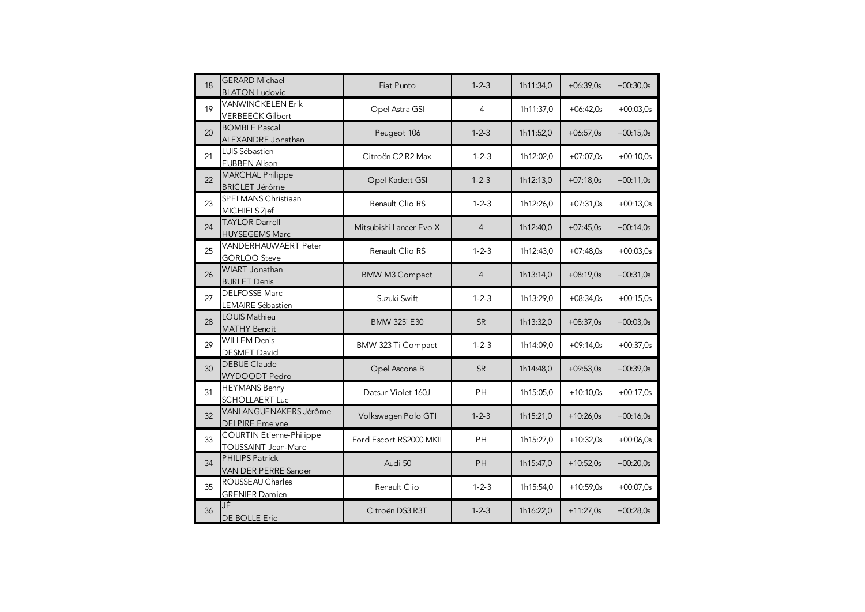| 18 | <b>GERARD Michael</b><br><b>BLATON Ludovic</b>         | Fiat Punto              | $1 - 2 - 3$    | 1h11:34,0 | $+06:39,0s$ | $+00:30,0s$ |
|----|--------------------------------------------------------|-------------------------|----------------|-----------|-------------|-------------|
| 19 | <b>VANWINCKELEN Erik</b><br><b>VERBEECK Gilbert</b>    | Opel Astra GSI          | 4              | 1h11:37.0 | $+06:42.0s$ | $+00:03,0s$ |
| 20 | <b>BOMBLE Pascal</b><br>ALEXANDRE Jonathan             | Peugeot 106             | $1 - 2 - 3$    | 1h11:52,0 | $+06:57,0s$ | $+00:15.0s$ |
| 21 | LUIS Sébastien<br><b>EUBBEN Alison</b>                 | Citroën C2 R2 Max       | $1 - 2 - 3$    | 1h12:02,0 | $+07:07.0s$ | $+00:10.0s$ |
| 22 | <b>MARCHAL Philippe</b><br><b>BRICLET Jérôme</b>       | Opel Kadett GSI         | $1 - 2 - 3$    | 1h12:13,0 | $+07:18,0s$ | $+00:11,0s$ |
| 23 | SPELMANS Christiaan<br>MICHIELS Zjef                   | Renault Clio RS         | $1 - 2 - 3$    | 1h12:26,0 | $+07:31,0s$ | $+00:13.0s$ |
| 24 | <b>TAYLOR Darrell</b><br><b>HUYSEGEMS Marc</b>         | Mitsubishi Lancer Evo X | $\overline{4}$ | 1h12:40,0 | $+07:45,0s$ | $+00:14,0s$ |
| 25 | VANDERHAUWAERT Peter<br><b>GORLOO</b> Steve            | Renault Clio RS         | $1 - 2 - 3$    | 1h12:43,0 | $+07:48,0s$ | $+00:03,0s$ |
| 26 | WIART Jonathan<br><b>BURLET Denis</b>                  | <b>BMW M3 Compact</b>   | $\overline{4}$ | 1h13:14,0 | $+08:19,0s$ | $+00:31,0s$ |
| 27 | <b>DELFOSSE Marc</b><br>LEMAIRE Sébastien              | Suzuki Swift            | $1 - 2 - 3$    | 1h13:29,0 | $+08:34.0s$ | $+00:15.0s$ |
| 28 | <b>LOUIS Mathieu</b><br><b>MATHY Benoit</b>            | <b>BMW 325i E30</b>     | <b>SR</b>      | 1h13:32,0 | $+08:37,0s$ | $+00:03,0s$ |
| 29 | <b>WILLEM Denis</b><br><b>DESMET David</b>             | BMW 323 Ti Compact      | $1 - 2 - 3$    | 1h14:09,0 | $+09:14,0s$ | $+00:37,0s$ |
| 30 | <b>DEBUE Claude</b><br>WYDOODT Pedro                   | Opel Ascona B           | <b>SR</b>      | 1h14:48,0 | $+09:53,0s$ | $+00:39,0s$ |
| 31 | <b>HEYMANS Benny</b><br><b>SCHOLLAERT Luc</b>          | Datsun Violet 160J      | <b>PH</b>      | 1h15:05,0 | $+10:10.0s$ | $+00:17.0s$ |
| 32 | VANLANGUENAKERS Jérôme<br><b>DELPIRE Emelyne</b>       | Volkswagen Polo GTI     | $1 - 2 - 3$    | 1h15:21,0 | $+10:26.0s$ | $+00:16.0s$ |
| 33 | <b>COURTIN Etienne-Philippe</b><br>TOUSSAINT Jean-Marc | Ford Escort RS2000 MKII | <b>PH</b>      | 1h15:27,0 | $+10:32,0s$ | $+00:06,0s$ |
| 34 | <b>PHILIPS Patrick</b><br>VAN DER PERRE Sander         | Audi 50                 | PH             | 1h15:47,0 | $+10:52,0s$ | $+00:20,0s$ |
| 35 | ROUSSEAU Charles<br><b>GRENIER Damien</b>              | Renault Clio            | $1 - 2 - 3$    | 1h15:54,0 | $+10:59,0s$ | $+00:07,0s$ |
| 36 | JÉ<br>DE BOLLE Eric                                    | Citroën DS3 R3T         | $1 - 2 - 3$    | 1h16:22,0 | $+11:27,0s$ | $+00:28.0s$ |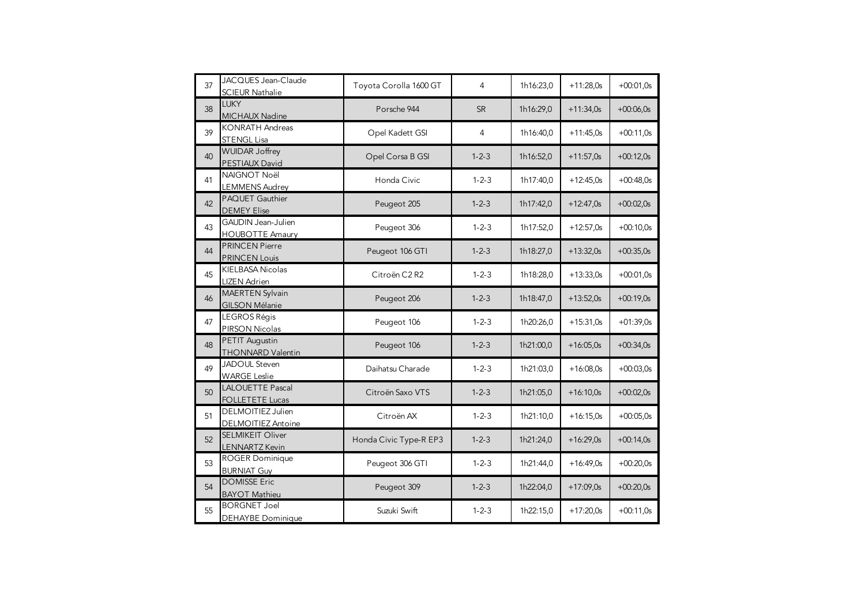| 37 | JACQUES Jean-Claude<br><b>SCIEUR Nathalie</b>    | Toyota Corolla 1600 GT | 4           | 1h16:23,0 | $+11:28,0s$ | $+00:01,0s$ |
|----|--------------------------------------------------|------------------------|-------------|-----------|-------------|-------------|
| 38 | <b>LUKY</b><br>MICHAUX Nadine                    | Porsche 944            | <b>SR</b>   | 1h16:29,0 | $+11:34.0s$ | $+00:06.0s$ |
| 39 | <b>KONRATH Andreas</b><br><b>STENGL Lisa</b>     | Opel Kadett GSI        | 4           | 1h16:40,0 | $+11:45.0s$ | $+00:11,0s$ |
| 40 | <b>WUIDAR Joffrey</b><br>PESTIAUX David          | Opel Corsa B GSI       | $1 - 2 - 3$ | 1h16:52,0 | $+11:57,0s$ | $+00:12,0s$ |
| 41 | NAIGNOT Noël<br><b>LEMMENS Audrey</b>            | Honda Civic            | $1 - 2 - 3$ | 1h17:40,0 | $+12:45,0s$ | $+00:48,0s$ |
| 42 | PAQUET Gauthier<br><b>DEMEY Elise</b>            | Peugeot 205            | $1 - 2 - 3$ | 1h17:42,0 | $+12:47,0s$ | $+00:02.0s$ |
| 43 | GAUDIN Jean-Julien<br><b>HOUBOTTE Amaury</b>     | Peugeot 306            | $1 - 2 - 3$ | 1h17:52,0 | $+12:57,0s$ | $+00:10,0s$ |
| 44 | <b>PRINCEN Pierre</b><br><b>PRINCEN Louis</b>    | Peugeot 106 GTI        | $1 - 2 - 3$ | 1h18:27,0 | $+13:32,0s$ | $+00:35,0s$ |
| 45 | <b>KIELBASA Nicolas</b><br><b>LIZEN Adrien</b>   | Citroën C2 R2          | $1 - 2 - 3$ | 1h18:28,0 | $+13:33,0s$ | $+00:01,0s$ |
| 46 | <b>MAERTEN Sylvain</b><br><b>GILSON Mélanie</b>  | Peugeot 206            | $1 - 2 - 3$ | 1h18:47,0 | $+13:52,0s$ | $+00:19,0s$ |
| 47 | LEGROS Régis<br>PIRSON Nicolas                   | Peugeot 106            | $1 - 2 - 3$ | 1h20:26,0 | $+15:31,0s$ | $+01:39,0s$ |
| 48 | PETIT Augustin<br><b>THONNARD Valentin</b>       | Peugeot 106            | $1 - 2 - 3$ | 1h21:00,0 | $+16:05,0s$ | $+00:34,0s$ |
| 49 | JADOUL Steven<br><b>WARGE Leslie</b>             | Daihatsu Charade       | $1 - 2 - 3$ | 1h21:03,0 | $+16:08,0s$ | $+00:03,0s$ |
| 50 | LALOUETTE Pascal<br><b>FOLLETETE Lucas</b>       | Citroën Saxo VTS       | $1 - 2 - 3$ | 1h21:05,0 | $+16:10.0s$ | $+00:02.0s$ |
| 51 | DELMOITIEZ Julien<br>DELMOITIEZ Antoine          | Citroën AX             | $1 - 2 - 3$ | 1h21:10,0 | $+16:15.0s$ | $+00:05.0s$ |
| 52 | <b>SELMIKEIT Oliver</b><br><b>LENNARTZ Kevin</b> | Honda Civic Type-R EP3 | $1 - 2 - 3$ | 1h21:24,0 | $+16:29,0s$ | $+00:14,0s$ |
| 53 | ROGER Dominique<br><b>BURNIAT Guy</b>            | Peugeot 306 GTI        | $1 - 2 - 3$ | 1h21:44,0 | $+16:49,0s$ | $+00:20,0s$ |
| 54 | <b>DOMISSE Eric</b><br><b>BAYOT Mathieu</b>      | Peugeot 309            | $1 - 2 - 3$ | 1h22:04,0 | $+17:09,0s$ | $+00:20.0s$ |
| 55 | <b>BORGNET Joel</b><br><b>DEHAYBE</b> Dominique  | Suzuki Swift           | $1 - 2 - 3$ | 1h22:15,0 | $+17:20.0s$ | $+00:11,0s$ |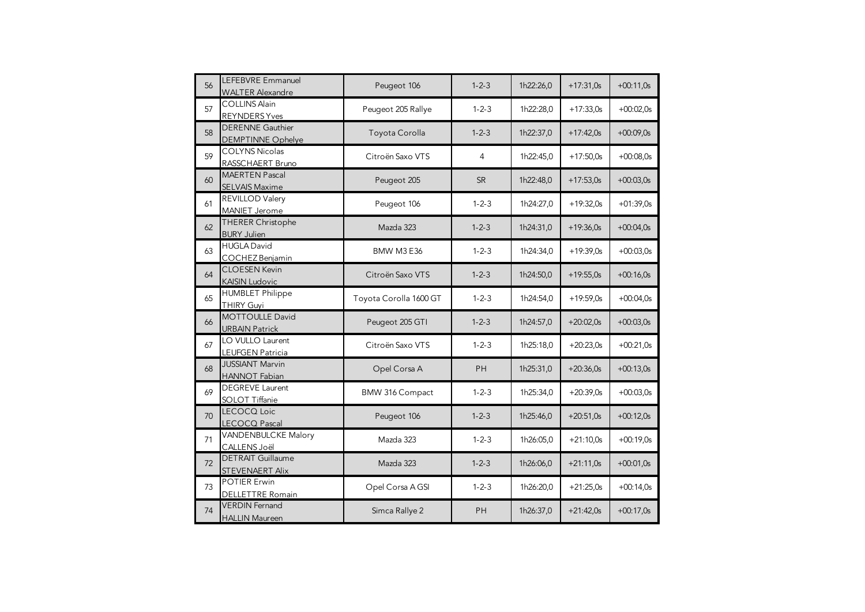| 56 | LEFEBVRE Emmanuel<br><b>WALTER Alexandre</b>        | Peugeot 106            | $1 - 2 - 3$ | 1h22:26,0 | $+17:31,0s$ | $+00:11,0s$ |
|----|-----------------------------------------------------|------------------------|-------------|-----------|-------------|-------------|
| 57 | <b>COLLINS Alain</b><br><b>REYNDERS Yves</b>        | Peugeot 205 Rallye     | $1 - 2 - 3$ | 1h22:28,0 | $+17:33,0s$ | $+00:02,0s$ |
| 58 | <b>DERENNE</b> Gauthier<br><b>DEMPTINNE Ophelye</b> | Toyota Corolla         | $1 - 2 - 3$ | 1h22:37,0 | $+17:42.0s$ | $+00:09.0s$ |
| 59 | <b>COLYNS Nicolas</b><br>RASSCHAERT Bruno           | Citroën Saxo VTS       | 4           | 1h22:45.0 | $+17:50.0s$ | $+00:08.0s$ |
| 60 | <b>MAERTEN Pascal</b><br><b>SELVAIS Maxime</b>      | Peugeot 205            | <b>SR</b>   | 1h22:48,0 | $+17:53.0s$ | $+00:03.0s$ |
| 61 | REVILLOD Valery<br>MANIET Jerome                    | Peugeot 106            | $1 - 2 - 3$ | 1h24:27,0 | $+19:32,0s$ | $+01:39,0s$ |
| 62 | THERER Christophe<br><b>BURY Julien</b>             | Mazda 323              | $1 - 2 - 3$ | 1h24:31,0 | $+19:36.0s$ | $+00:04.0s$ |
| 63 | <b>HUGLA David</b><br>COCHEZ Benjamin               | BMW M3 E36             | $1 - 2 - 3$ | 1h24:34,0 | $+19:39,0s$ | $+00:03,0s$ |
| 64 | <b>CLOESEN Kevin</b><br><b>KAISIN Ludovic</b>       | Citroën Saxo VTS       | $1 - 2 - 3$ | 1h24:50,0 | $+19:55.0s$ | $+00:16.0s$ |
| 65 | <b>HUMBLET Philippe</b><br><b>THIRY Guyi</b>        | Toyota Corolla 1600 GT | $1 - 2 - 3$ | 1h24:54,0 | $+19:59,0s$ | $+00:04,0s$ |
| 66 | <b>MOTTOULLE David</b><br><b>URBAIN Patrick</b>     | Peugeot 205 GTI        | $1 - 2 - 3$ | 1h24:57,0 | $+20:02,0s$ | $+00:03,0s$ |
| 67 | LO VULLO Laurent<br><b>LEUFGEN Patricia</b>         | Citroën Saxo VTS       | $1 - 2 - 3$ | 1h25:18,0 | $+20:23,0s$ | $+00:21,0s$ |
| 68 | <b>JUSSIANT Marvin</b><br><b>HANNOT Fabian</b>      | Opel Corsa A           | <b>PH</b>   | 1h25:31,0 | $+20:36.0s$ | $+00:13,0s$ |
| 69 | <b>DEGREVE Laurent</b><br>SOLOT Tiffanie            | BMW 316 Compact        | $1 - 2 - 3$ | 1h25:34,0 | $+20:39.0s$ | $+00:03.0s$ |
| 70 | LECOCQ Loic<br>LECOCQ Pascal                        | Peugeot 106            | $1 - 2 - 3$ | 1h25:46,0 | $+20:51.0s$ | $+00:12.0s$ |
| 71 | VANDENBULCKE Malory<br>CALLENS Joël                 | Mazda 323              | $1 - 2 - 3$ | 1h26:05,0 | $+21:10,0s$ | $+00:19,0s$ |
| 72 | <b>DETRAIT Guillaume</b><br><b>STEVENAERT Alix</b>  | Mazda 323              | $1 - 2 - 3$ | 1h26:06,0 | $+21:11,0s$ | $+00:01,0s$ |
| 73 | <b>POTIER Erwin</b><br>DELLETTRE Romain             | Opel Corsa A GSI       | $1 - 2 - 3$ | 1h26:20,0 | $+21:25,0s$ | $+00:14.0s$ |
| 74 | <b>VERDIN</b> Fernand<br><b>HALLIN Maureen</b>      | Simca Rallye 2         | PH          | 1h26:37,0 | $+21:42.0s$ | $+00:17,0s$ |